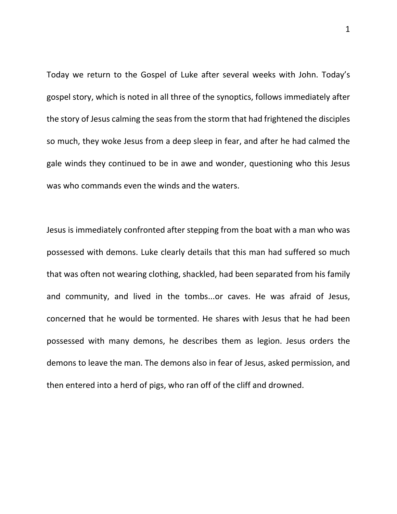Today we return to the Gospel of Luke after several weeks with John. Today's gospel story, which is noted in all three of the synoptics, follows immediately after the story of Jesus calming the seas from the storm that had frightened the disciples so much, they woke Jesus from a deep sleep in fear, and after he had calmed the gale winds they continued to be in awe and wonder, questioning who this Jesus was who commands even the winds and the waters.

Jesus is immediately confronted after stepping from the boat with a man who was possessed with demons. Luke clearly details that this man had suffered so much that was often not wearing clothing, shackled, had been separated from his family and community, and lived in the tombs...or caves. He was afraid of Jesus, concerned that he would be tormented. He shares with Jesus that he had been possessed with many demons, he describes them as legion. Jesus orders the demons to leave the man. The demons also in fear of Jesus, asked permission, and then entered into a herd of pigs, who ran off of the cliff and drowned.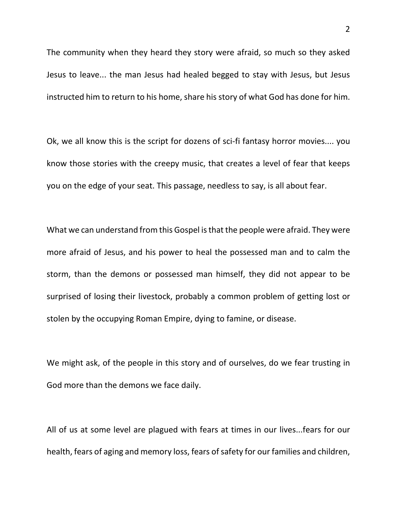The community when they heard they story were afraid, so much so they asked Jesus to leave... the man Jesus had healed begged to stay with Jesus, but Jesus instructed him to return to his home, share his story of what God has done for him.

Ok, we all know this is the script for dozens of sci-fi fantasy horror movies.... you know those stories with the creepy music, that creates a level of fear that keeps you on the edge of your seat. This passage, needless to say, is all about fear.

What we can understand from this Gospel is that the people were afraid. They were more afraid of Jesus, and his power to heal the possessed man and to calm the storm, than the demons or possessed man himself, they did not appear to be surprised of losing their livestock, probably a common problem of getting lost or stolen by the occupying Roman Empire, dying to famine, or disease.

We might ask, of the people in this story and of ourselves, do we fear trusting in God more than the demons we face daily.

All of us at some level are plagued with fears at times in our lives...fears for our health, fears of aging and memory loss, fears of safety for our families and children,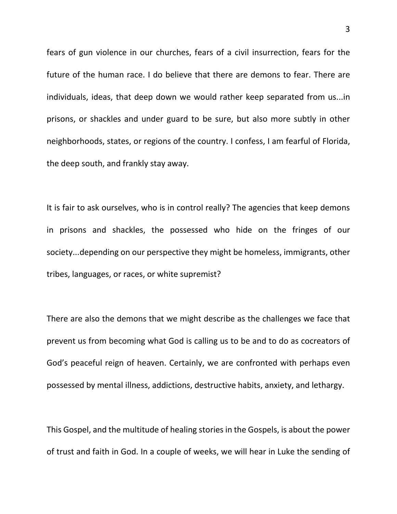fears of gun violence in our churches, fears of a civil insurrection, fears for the future of the human race. I do believe that there are demons to fear. There are individuals, ideas, that deep down we would rather keep separated from us...in prisons, or shackles and under guard to be sure, but also more subtly in other neighborhoods, states, or regions of the country. I confess, I am fearful of Florida, the deep south, and frankly stay away.

It is fair to ask ourselves, who is in control really? The agencies that keep demons in prisons and shackles, the possessed who hide on the fringes of our society...depending on our perspective they might be homeless, immigrants, other tribes, languages, or races, or white supremist?

There are also the demons that we might describe as the challenges we face that prevent us from becoming what God is calling us to be and to do as cocreators of God's peaceful reign of heaven. Certainly, we are confronted with perhaps even possessed by mental illness, addictions, destructive habits, anxiety, and lethargy.

This Gospel, and the multitude of healing stories in the Gospels, is about the power of trust and faith in God. In a couple of weeks, we will hear in Luke the sending of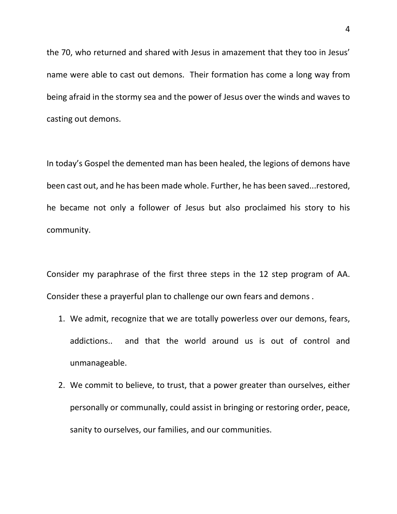the 70, who returned and shared with Jesus in amazement that they too in Jesus' name were able to cast out demons. Their formation has come a long way from being afraid in the stormy sea and the power of Jesus over the winds and waves to casting out demons.

In today's Gospel the demented man has been healed, the legions of demons have been cast out, and he has been made whole. Further, he has been saved...restored, he became not only a follower of Jesus but also proclaimed his story to his community.

Consider my paraphrase of the first three steps in the 12 step program of AA. Consider these a prayerful plan to challenge our own fears and demons .

- 1. We admit, recognize that we are totally powerless over our demons, fears, addictions.. and that the world around us is out of control and unmanageable.
- 2. We commit to believe, to trust, that a power greater than ourselves, either personally or communally, could assist in bringing or restoring order, peace, sanity to ourselves, our families, and our communities.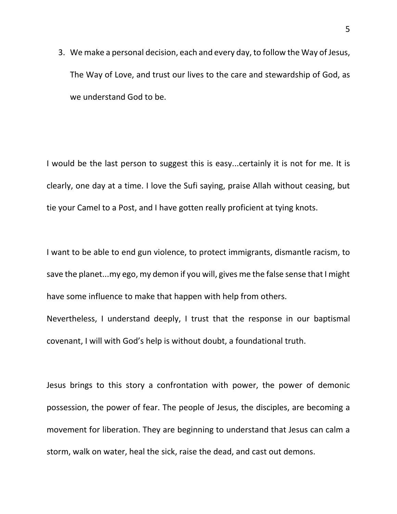3. We make a personal decision, each and every day, to follow the Way of Jesus, The Way of Love, and trust our lives to the care and stewardship of God, as we understand God to be.

I would be the last person to suggest this is easy...certainly it is not for me. It is clearly, one day at a time. I love the Sufi saying, praise Allah without ceasing, but tie your Camel to a Post, and I have gotten really proficient at tying knots.

I want to be able to end gun violence, to protect immigrants, dismantle racism, to save the planet...my ego, my demon if you will, gives me the false sense that I might have some influence to make that happen with help from others.

Nevertheless, I understand deeply, I trust that the response in our baptismal covenant, I will with God's help is without doubt, a foundational truth.

Jesus brings to this story a confrontation with power, the power of demonic possession, the power of fear. The people of Jesus, the disciples, are becoming a movement for liberation. They are beginning to understand that Jesus can calm a storm, walk on water, heal the sick, raise the dead, and cast out demons.